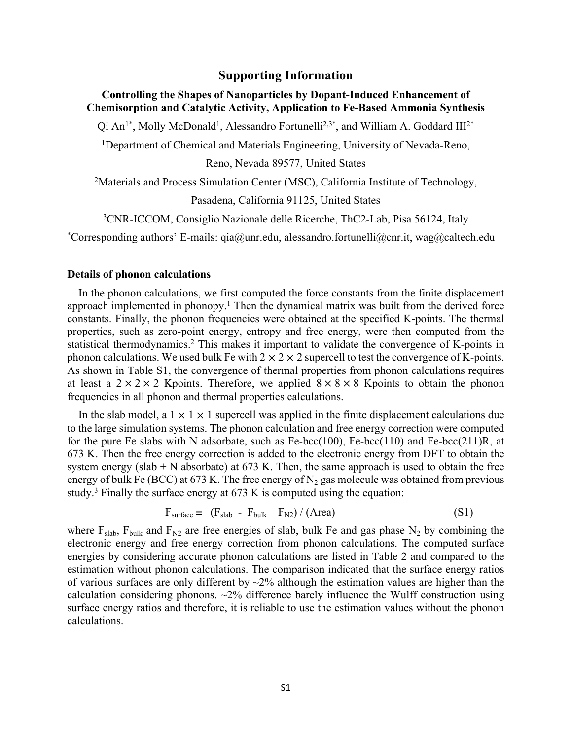## **Supporting Information**

## **Controlling the Shapes of Nanoparticles by Dopant-Induced Enhancement of Chemisorption and Catalytic Activity, Application to Fe-Based Ammonia Synthesis**

Qi An<sup>1\*</sup>, Molly McDonald<sup>1</sup>, Alessandro Fortunelli<sup>2,3\*</sup>, and William A. Goddard III<sup>2\*</sup>

<sup>1</sup>Department of Chemical and Materials Engineering, University of Nevada-Reno,

Reno, Nevada 89577, United States

<sup>2</sup>Materials and Process Simulation Center (MSC), California Institute of Technology,

Pasadena, California 91125, United States

<sup>3</sup>CNR-ICCOM, Consiglio Nazionale delle Ricerche, ThC2-Lab, Pisa 56124, Italy

\*Corresponding authors' E-mails:  $qia@unr.edu$ , alessandro.fortunelli $@cnr.it$ , wag $@calce$ ltech.edu

## **Details of phonon calculations**

In the phonon calculations, we first computed the force constants from the finite displacement approach implemented in phonopy.<sup>1</sup> Then the dynamical matrix was built from the derived force constants. Finally, the phonon frequencies were obtained at the specified K-points. The thermal properties, such as zero-point energy, entropy and free energy, were then computed from the statistical thermodynamics.<sup>2</sup> This makes it important to validate the convergence of K-points in phonon calculations. We used bulk Fe with  $2 \times 2 \times 2$  supercell to test the convergence of K-points. As shown in Table S1, the convergence of thermal properties from phonon calculations requires at least a  $2 \times 2 \times 2$  Kpoints. Therefore, we applied  $8 \times 8 \times 8$  Kpoints to obtain the phonon frequencies in all phonon and thermal properties calculations.

In the slab model, a  $1 \times 1 \times 1$  supercell was applied in the finite displacement calculations due to the large simulation systems. The phonon calculation and free energy correction were computed for the pure Fe slabs with N adsorbate, such as  $Fe-bcc(100)$ ,  $Fe-bcc(110)$  and  $Fe-bcc(211)R$ , at 673 K. Then the free energy correction is added to the electronic energy from DFT to obtain the system energy (slab  $+ N$  absorbate) at 673 K. Then, the same approach is used to obtain the free energy of bulk Fe (BCC) at 673 K. The free energy of  $N_2$  gas molecule was obtained from previous study.<sup>3</sup> Finally the surface energy at  $673$  K is computed using the equation:

$$
F_{\text{surface}} \equiv (F_{\text{slab}} - F_{\text{bulk}} - F_{\text{N2}}) / (\text{Area}) \tag{S1}
$$

where  $F_{slab}$ ,  $F_{bulk}$  and  $F_{N2}$  are free energies of slab, bulk Fe and gas phase N<sub>2</sub> by combining the electronic energy and free energy correction from phonon calculations. The computed surface energies by considering accurate phonon calculations are listed in Table 2 and compared to the estimation without phonon calculations. The comparison indicated that the surface energy ratios of various surfaces are only different by  $\sim$ 2% although the estimation values are higher than the calculation considering phonons.  $\sim$ 2% difference barely influence the Wulff construction using surface energy ratios and therefore, it is reliable to use the estimation values without the phonon calculations.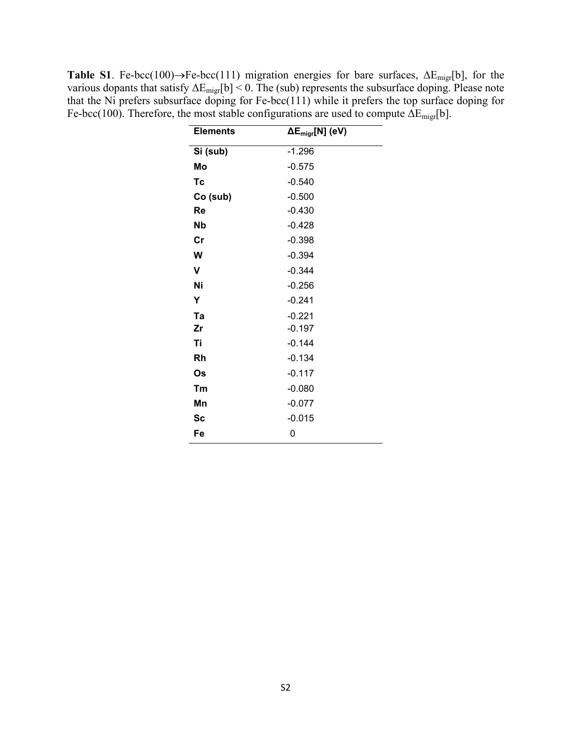**Table S1**. Fe-bcc(100) $\rightarrow$ Fe-bcc(111) migration energies for bare surfaces,  $\Delta E_{\text{migr}}[b]$ , for the various dopants that satisfy  $\Delta E_{\text{migr}}[b] < 0$ . The (sub) represents the subsurface doping. Please note that the Ni prefers subsurface doping for Fe-bcc(111) while it prefers the top surface doping for Fe-bcc(100). Therefore, the most stable configurations are used to compute  $\Delta E_{\text{migr}}[b]$ .

| <b>Elements</b> | $\Delta E_{\text{migr}}[N]$ (eV) |  |  |
|-----------------|----------------------------------|--|--|
| Si (sub)        | $-1.296$                         |  |  |
| Mo              | $-0.575$                         |  |  |
| Tc              | $-0.540$                         |  |  |
| Co (sub)        | $-0.500$                         |  |  |
| Re              | $-0.430$                         |  |  |
| <b>Nb</b>       | $-0.428$                         |  |  |
| $\mathsf{Cr}$   | $-0.398$                         |  |  |
| W               | $-0.394$                         |  |  |
| V               | $-0.344$                         |  |  |
| Ni              | $-0.256$                         |  |  |
| Υ               | $-0.241$                         |  |  |
| Ta              | $-0.221$                         |  |  |
| Zr              | $-0.197$                         |  |  |
| Ti              | $-0.144$                         |  |  |
| <b>Rh</b>       | $-0.134$                         |  |  |
| Os              | $-0.117$                         |  |  |
| Tm              | $-0.080$                         |  |  |
| Mn              | $-0.077$                         |  |  |
| <b>Sc</b>       | $-0.015$                         |  |  |
| Fe              | 0                                |  |  |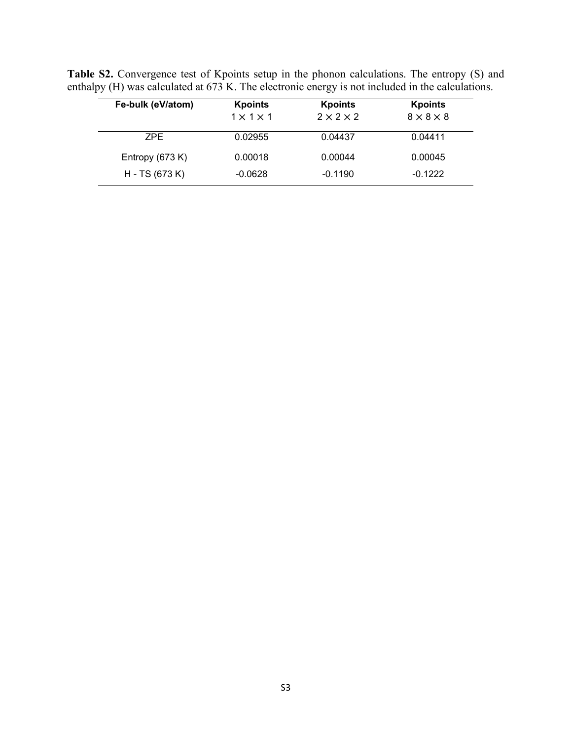Table S2. Convergence test of Kpoints setup in the phonon calculations. The entropy (S) and enthalpy (H) was calculated at 673 K. The electronic energy is not included in the calculations.

| Fe-bulk (eV/atom) | <b>Kpoints</b>        | <b>Kpoints</b>        | <b>Kpoints</b>        |
|-------------------|-----------------------|-----------------------|-----------------------|
|                   | $1 \times 1 \times 1$ | $2 \times 2 \times 2$ | $8 \times 8 \times 8$ |
| ZPF.              | 0.02955               | 0.04437               | 0.04411               |
| Entropy $(673 K)$ | 0.00018               | 0.00044               | 0.00045               |
| H - TS (673 K)    | $-0.0628$             | $-0.1190$             | $-0.1222$             |